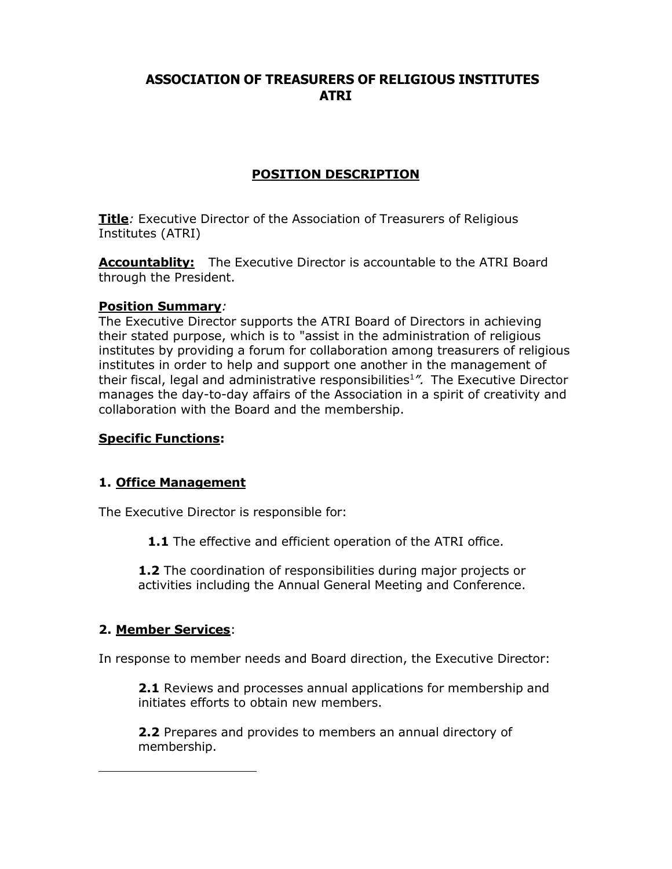# **ASSOCIATION OF TREASURERS OF RELIGIOUS INSTITUTES ATRI**

# **POSITION DESCRIPTION**

**Title***:* Executive Director of the Association of Treasurers of Religious Institutes (ATRI)

**Accountablity:** The Executive Director is accountable to the ATRI Board through the President.

#### **Position Summary***:*

The Executive Director supports the ATRI Board of Directors in achieving their stated purpose, which is to "assist in the administration of religious institutes by providing a forum for collaboration among treasurers of religious institutes in order to help and support one another in the management of their fiscal, legal and administrative responsibilities1*".* The Executive Director manages the day-to-day affairs of the Association in a spirit of creativity and collaboration with the Board and the membership.

#### **Specific Functions:**

### **1. Office Management**

The Executive Director is responsible for:

**1.1** The effective and efficient operation of the ATRI office.

**1.2** The coordination of responsibilities during major projects or activities including the Annual General Meeting and Conference.

### **2. Member Services**:

In response to member needs and Board direction, the Executive Director:

**2.1** Reviews and processes annual applications for membership and initiates efforts to obtain new members.

**2.2** Prepares and provides to members an annual directory of membership.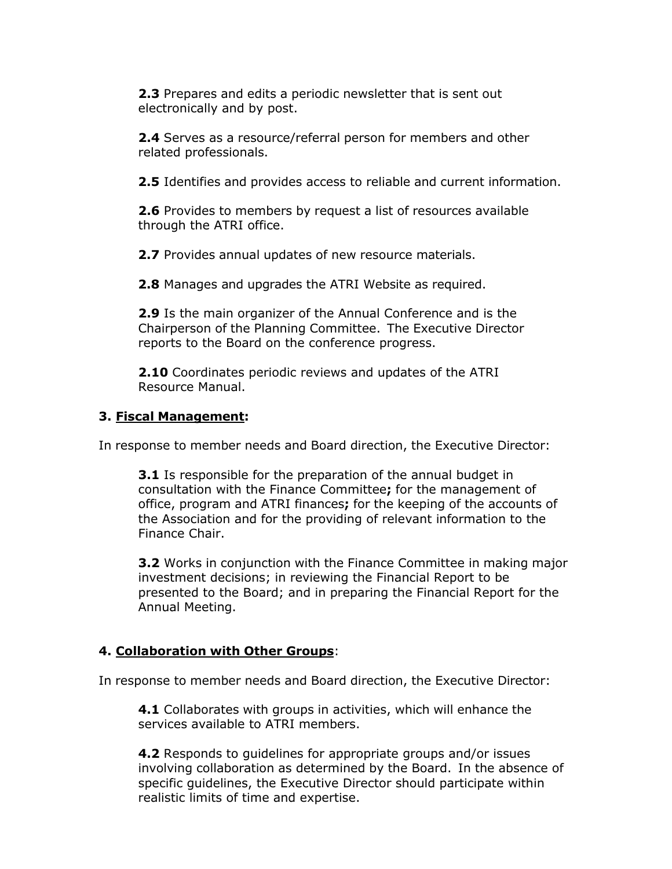**2.3** Prepares and edits a periodic newsletter that is sent out electronically and by post.

**2.4** Serves as a resource/referral person for members and other related professionals.

**2.5** Identifies and provides access to reliable and current information.

**2.6** Provides to members by request a list of resources available through the ATRI office.

**2.7** Provides annual updates of new resource materials.

**2.8** Manages and upgrades the ATRI Website as required.

**2.9** Is the main organizer of the Annual Conference and is the Chairperson of the Planning Committee. The Executive Director reports to the Board on the conference progress.

**2.10** Coordinates periodic reviews and updates of the ATRI Resource Manual.

### **3. Fiscal Management:**

In response to member needs and Board direction, the Executive Director:

**3.1** Is responsible for the preparation of the annual budget in consultation with the Finance Committee**;** for the management of office, program and ATRI finances**;** for the keeping of the accounts of the Association and for the providing of relevant information to the Finance Chair.

**3.2** Works in conjunction with the Finance Committee in making major investment decisions; in reviewing the Financial Report to be presented to the Board; and in preparing the Financial Report for the Annual Meeting.

### **4. Collaboration with Other Groups**:

In response to member needs and Board direction, the Executive Director:

**4.1** Collaborates with groups in activities, which will enhance the services available to ATRI members.

**4.2** Responds to guidelines for appropriate groups and/or issues involving collaboration as determined by the Board. In the absence of specific guidelines, the Executive Director should participate within realistic limits of time and expertise.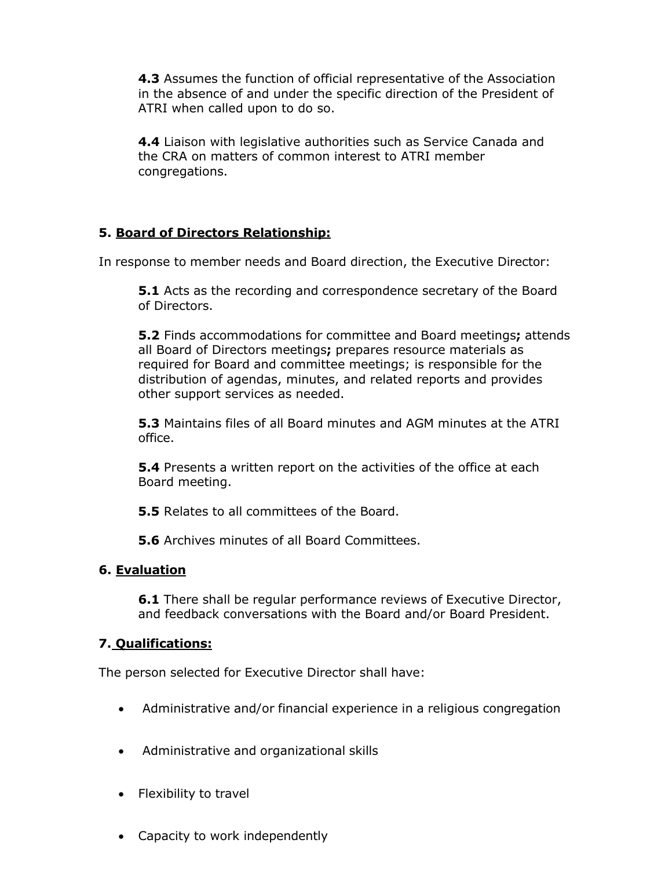**4.3** Assumes the function of official representative of the Association in the absence of and under the specific direction of the President of ATRI when called upon to do so.

**4.4** Liaison with legislative authorities such as Service Canada and the CRA on matters of common interest to ATRI member congregations.

# **5. Board of Directors Relationship:**

In response to member needs and Board direction, the Executive Director:

**5.1** Acts as the recording and correspondence secretary of the Board of Directors.

**5.2** Finds accommodations for committee and Board meetings**;** attends all Board of Directors meetings**;** prepares resource materials as required for Board and committee meetings; is responsible for the distribution of agendas, minutes, and related reports and provides other support services as needed.

**5.3** Maintains files of all Board minutes and AGM minutes at the ATRI office.

**5.4** Presents a written report on the activities of the office at each Board meeting.

**5.5** Relates to all committees of the Board.

**5.6** Archives minutes of all Board Committees.

## **6. Evaluation**

**6.1** There shall be regular performance reviews of Executive Director, and feedback conversations with the Board and/or Board President.

## **7. Qualifications:**

The person selected for Executive Director shall have:

- Administrative and/or financial experience in a religious congregation
- Administrative and organizational skills
- Flexibility to travel
- Capacity to work independently